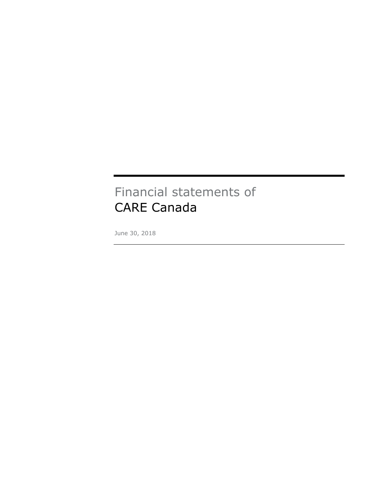# Financial statements of CARE Canada

June 30, 2018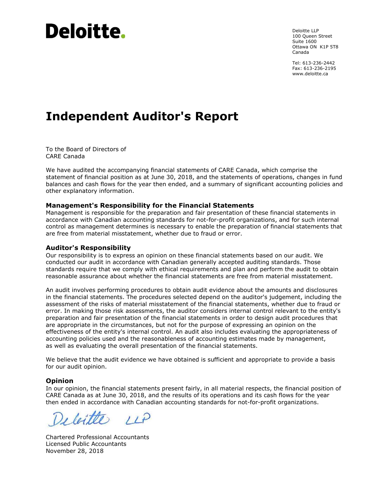# Deloitte.

Deloitte LLP 100 Queen Street Suite 1600 Ottawa ON K1P 5T8 Canada

Tel: 613-236-2442 Fax: 613-236-2195 www.deloitte.ca

# **Independent Auditor's Report**

To the Board of Directors of CARE Canada

We have audited the accompanying financial statements of CARE Canada, which comprise the statement of financial position as at June 30, 2018, and the statements of operations, changes in fund balances and cash flows for the year then ended, and a summary of significant accounting policies and other explanatory information.

# **Management's Responsibility for the Financial Statements**

Management is responsible for the preparation and fair presentation of these financial statements in accordance with Canadian accounting standards for not-for-profit organizations, and for such internal control as management determines is necessary to enable the preparation of financial statements that are free from material misstatement, whether due to fraud or error.

#### **Auditor's Responsibility**

Our responsibility is to express an opinion on these financial statements based on our audit. We conducted our audit in accordance with Canadian generally accepted auditing standards. Those standards require that we comply with ethical requirements and plan and perform the audit to obtain reasonable assurance about whether the financial statements are free from material misstatement.

An audit involves performing procedures to obtain audit evidence about the amounts and disclosures in the financial statements. The procedures selected depend on the auditor's judgement, including the assessment of the risks of material misstatement of the financial statements, whether due to fraud or error. In making those risk assessments, the auditor considers internal control relevant to the entity's preparation and fair presentation of the financial statements in order to design audit procedures that are appropriate in the circumstances, but not for the purpose of expressing an opinion on the effectiveness of the entity's internal control. An audit also includes evaluating the appropriateness of accounting policies used and the reasonableness of accounting estimates made by management, as well as evaluating the overall presentation of the financial statements.

We believe that the audit evidence we have obtained is sufficient and appropriate to provide a basis for our audit opinion.

#### **Opinion**

In our opinion, the financial statements present fairly, in all material respects, the financial position of CARE Canada as at June 30, 2018, and the results of its operations and its cash flows for the year then ended in accordance with Canadian accounting standards for not-for-profit organizations.

Chartered Professional Accountants Licensed Public Accountants November 28, 2018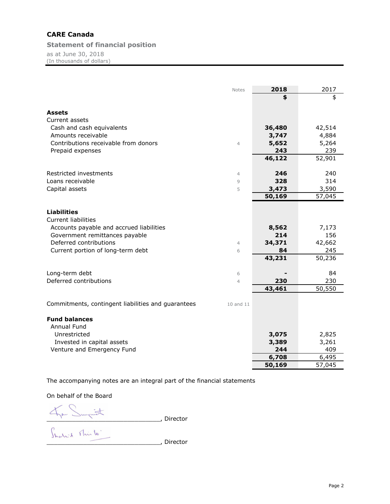# **Statement of financial position**

as at June 30, 2018 (In thousands of dollars)

|                                                    | <b>Notes</b>   | 2018   | 2017                |
|----------------------------------------------------|----------------|--------|---------------------|
|                                                    |                | \$     | \$                  |
|                                                    |                |        |                     |
| <b>Assets</b>                                      |                |        |                     |
| Current assets                                     |                |        |                     |
| Cash and cash equivalents                          |                | 36,480 | 42,514              |
| Amounts receivable                                 |                | 3,747  | 4,884               |
| Contributions receivable from donors               | $\overline{4}$ | 5,652  | 5,264               |
| Prepaid expenses                                   |                | 243    | 239                 |
|                                                    |                | 46,122 | 52,901              |
|                                                    |                |        |                     |
| Restricted investments                             | $\overline{4}$ | 246    | 240                 |
| Loans receivable                                   | 9              | 328    | 314                 |
| Capital assets                                     | 5              | 3,473  | 3,590               |
|                                                    |                | 50,169 | $\overline{57,045}$ |
|                                                    |                |        |                     |
|                                                    |                |        |                     |
| <b>Liabilities</b>                                 |                |        |                     |
| <b>Current liabilities</b>                         |                |        |                     |
| Accounts payable and accrued liabilities           |                | 8,562  | 7,173               |
| Government remittances payable                     |                | 214    | 156                 |
| Deferred contributions                             | $\overline{4}$ | 34,371 | 42,662              |
| Current portion of long-term debt                  | 6              | 84     | 245                 |
|                                                    |                | 43,231 | 50,236              |
|                                                    |                |        |                     |
| Long-term debt                                     | 6              |        | 84                  |
| Deferred contributions                             | 4              | 230    | 230                 |
|                                                    |                | 43,461 | $\overline{50,}550$ |
|                                                    |                |        |                     |
| Commitments, contingent liabilities and guarantees | 10 and 11      |        |                     |
|                                                    |                |        |                     |
| <b>Fund balances</b>                               |                |        |                     |
| <b>Annual Fund</b>                                 |                |        |                     |
| Unrestricted                                       |                | 3,075  | 2,825               |
| Invested in capital assets                         |                | 3,389  | 3,261               |
| Venture and Emergency Fund                         |                | 244    | 409                 |
|                                                    |                | 6,708  | 6,495               |
|                                                    |                | 50,169 | 57,045              |
|                                                    |                |        |                     |

The accompanying notes are an integral part of the financial statements

On behalf of the Board

\_\_\_\_\_\_\_\_\_\_\_\_\_\_\_\_\_\_\_\_\_\_\_\_\_\_\_\_\_\_\_, Director

\_\_\_\_\_\_\_\_\_\_\_\_\_\_\_\_\_\_\_\_\_\_\_\_\_\_\_\_\_\_\_, Director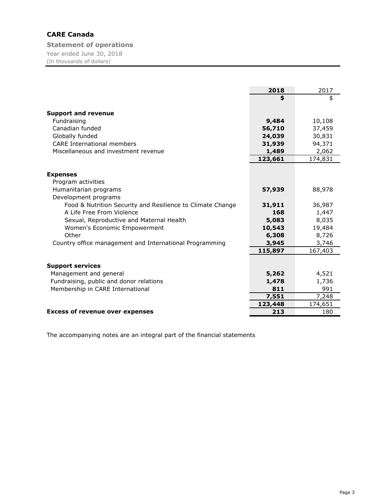**Statement of operations** Year ended June 30, 2018 (In thousands of dollars)

|                                                            | 2018    | 2017    |
|------------------------------------------------------------|---------|---------|
|                                                            | \$      | \$      |
|                                                            |         |         |
| <b>Support and revenue</b>                                 |         |         |
| Fundraising                                                | 9,484   | 10,108  |
| Canadian funded                                            | 56,710  | 37,459  |
| Globally funded                                            | 24,039  | 30,831  |
| <b>CARE International members</b>                          | 31,939  | 94,371  |
| Miscellaneous and investment revenue                       | 1,489   | 2,062   |
|                                                            | 123,661 | 174,831 |
|                                                            |         |         |
| <b>Expenses</b>                                            |         |         |
| Program activities                                         |         |         |
| Humanitarian programs                                      | 57,939  | 88,978  |
| Development programs                                       |         |         |
| Food & Nutrition Security and Resilience to Climate Change | 31,911  | 36,987  |
| A Life Free From Violence                                  | 168     | 1,447   |
| Sexual, Reproductive and Maternal Health                   | 5,083   | 8,035   |
| Women's Economic Empowerment                               | 10,543  | 19,484  |
| Other                                                      | 6,308   | 8,726   |
| Country office management and International Programming    | 3,945   | 3,746   |
|                                                            | 115,897 | 167,403 |
|                                                            |         |         |
| <b>Support services</b>                                    |         |         |
| Management and general                                     | 5,262   | 4,521   |
| Fundraising, public and donor relations                    | 1,478   | 1,736   |
| Membership in CARE International                           | 811     | 991     |
|                                                            | 7,551   | 7,248   |
|                                                            | 123,448 | 174,651 |
| <b>Excess of revenue over expenses</b>                     | 213     | 180     |

The accompanying notes are an integral part of the financial statements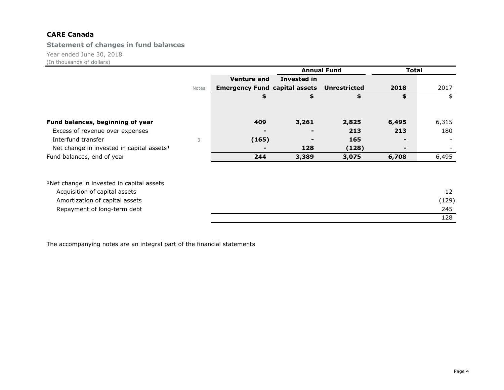# **Statement of changes in fund balances**

Year ended June 30, 2018

(In thousands of dollars)

|                                                       |       | <b>Annual Fund</b>                   |             | <b>Total</b>        |                |               |
|-------------------------------------------------------|-------|--------------------------------------|-------------|---------------------|----------------|---------------|
|                                                       |       | <b>Venture and</b>                   | Invested in |                     |                |               |
|                                                       | Notes | <b>Emergency Fund capital assets</b> |             | <b>Unrestricted</b> | 2018           | 2017          |
|                                                       |       | \$                                   | \$          | \$                  | \$             | $\frac{4}{5}$ |
| Fund balances, beginning of year                      |       | 409                                  | 3,261       | 2,825               | 6,495          | 6,315         |
| Excess of revenue over expenses                       |       |                                      |             | 213                 | 213            | 180           |
| Interfund transfer                                    | 3     | (165)                                |             | 165                 | -              |               |
| Net change in invested in capital assets <sup>1</sup> |       |                                      | 128         | (128)               | $\blacksquare$ |               |
| Fund balances, end of year                            |       | 244                                  | 3,389       | 3,075               | 6,708          | 6,495         |
| <sup>1</sup> Net change in invested in capital assets |       |                                      |             |                     |                |               |
| Acquisition of capital assets                         |       |                                      |             |                     |                | 12            |
| Amortization of capital assets                        |       |                                      |             |                     |                | (129)         |
| Repayment of long-term debt                           |       |                                      |             |                     |                | 245           |
|                                                       |       |                                      |             |                     |                | 128           |

The accompanying notes are an integral part of the financial statements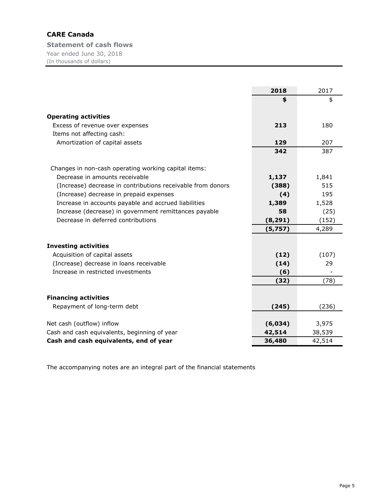**Statement of cash flows** Year ended June 30, 2018 (In thousands of dollars)

|                                                             | 2018     | 2017   |
|-------------------------------------------------------------|----------|--------|
|                                                             | \$       | \$     |
|                                                             |          |        |
| <b>Operating activities</b>                                 |          |        |
| Excess of revenue over expenses                             | 213      | 180    |
| Items not affecting cash:                                   |          |        |
| Amortization of capital assets                              | 129      | 207    |
|                                                             | 342      | 387    |
| Changes in non-cash operating working capital items:        |          |        |
| Decrease in amounts receivable                              | 1,137    | 1,841  |
| (Increase) decrease in contributions receivable from donors | (388)    | 515    |
| (Increase) decrease in prepaid expenses                     | (4)      | 195    |
| Increase in accounts payable and accrued liabilities        | 1,389    | 1,528  |
| Increase (decrease) in government remittances payable       | 58       | (25)   |
| Decrease in deferred contributions                          | (8, 291) | (152)  |
|                                                             | (5,757)  | 4,289  |
|                                                             |          |        |
| <b>Investing activities</b>                                 |          |        |
| Acquisition of capital assets                               | (12)     | (107)  |
| (Increase) decrease in loans receivable                     | (14)     | 29     |
| Increase in restricted investments                          | (6)      |        |
|                                                             | (32)     | (78)   |
|                                                             |          |        |
| <b>Financing activities</b>                                 |          |        |
| Repayment of long-term debt                                 | (245)    | (236)  |
| Net cash (outflow) inflow                                   | (6,034)  | 3,975  |
| Cash and cash equivalents, beginning of year                | 42,514   | 38,539 |
| Cash and cash equivalents, end of year                      | 36,480   | 42,514 |
|                                                             |          |        |

The accompanying notes are an integral part of the financial statements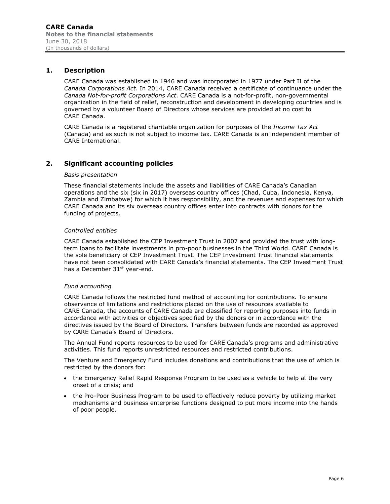# **1. Description**

CARE Canada was established in 1946 and was incorporated in 1977 under Part II of the *Canada Corporations Act*. In 2014, CARE Canada received a certificate of continuance under the *Canada Not-for-profit Corporations Act*. CARE Canada is a not-for-profit, non-governmental organization in the field of relief, reconstruction and development in developing countries and is governed by a volunteer Board of Directors whose services are provided at no cost to CARE Canada.

CARE Canada is a registered charitable organization for purposes of the *Income Tax Act* (Canada) and as such is not subject to income tax. CARE Canada is an independent member of CARE International.

#### **2. Significant accounting policies**

#### *Basis presentation*

These financial statements include the assets and liabilities of CARE Canada's Canadian operations and the six (six in 2017) overseas country offices (Chad, Cuba, Indonesia, Kenya, Zambia and Zimbabwe) for which it has responsibility, and the revenues and expenses for which CARE Canada and its six overseas country offices enter into contracts with donors for the funding of projects.

#### *Controlled entities*

CARE Canada established the CEP Investment Trust in 2007 and provided the trust with longterm loans to facilitate investments in pro-poor businesses in the Third World. CARE Canada is the sole beneficiary of CEP Investment Trust. The CEP Investment Trust financial statements have not been consolidated with CARE Canada's financial statements. The CEP Investment Trust has a December 31<sup>st</sup> year-end.

#### *Fund accounting*

CARE Canada follows the restricted fund method of accounting for contributions. To ensure observance of limitations and restrictions placed on the use of resources available to CARE Canada, the accounts of CARE Canada are classified for reporting purposes into funds in accordance with activities or objectives specified by the donors or in accordance with the directives issued by the Board of Directors. Transfers between funds are recorded as approved by CARE Canada's Board of Directors.

The Annual Fund reports resources to be used for CARE Canada's programs and administrative activities. This fund reports unrestricted resources and restricted contributions.

The Venture and Emergency Fund includes donations and contributions that the use of which is restricted by the donors for:

- the Emergency Relief Rapid Response Program to be used as a vehicle to help at the very onset of a crisis; and
- the Pro-Poor Business Program to be used to effectively reduce poverty by utilizing market mechanisms and business enterprise functions designed to put more income into the hands of poor people.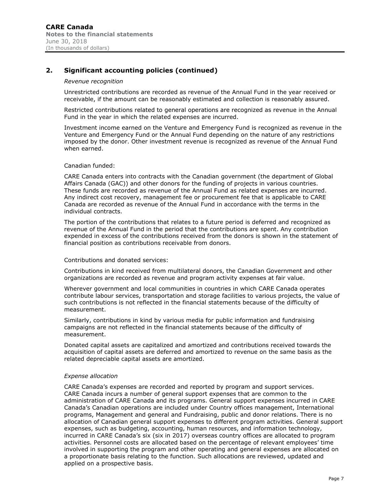# **2. Significant accounting policies (continued)**

#### *Revenue recognition*

Unrestricted contributions are recorded as revenue of the Annual Fund in the year received or receivable, if the amount can be reasonably estimated and collection is reasonably assured.

Restricted contributions related to general operations are recognized as revenue in the Annual Fund in the year in which the related expenses are incurred.

Investment income earned on the Venture and Emergency Fund is recognized as revenue in the Venture and Emergency Fund or the Annual Fund depending on the nature of any restrictions imposed by the donor. Other investment revenue is recognized as revenue of the Annual Fund when earned.

#### Canadian funded:

CARE Canada enters into contracts with the Canadian government (the department of Global Affairs Canada (GAC)) and other donors for the funding of projects in various countries. These funds are recorded as revenue of the Annual Fund as related expenses are incurred. Any indirect cost recovery, management fee or procurement fee that is applicable to CARE Canada are recorded as revenue of the Annual Fund in accordance with the terms in the individual contracts.

The portion of the contributions that relates to a future period is deferred and recognized as revenue of the Annual Fund in the period that the contributions are spent. Any contribution expended in excess of the contributions received from the donors is shown in the statement of financial position as contributions receivable from donors.

#### Contributions and donated services:

Contributions in kind received from multilateral donors, the Canadian Government and other organizations are recorded as revenue and program activity expenses at fair value.

Wherever government and local communities in countries in which CARE Canada operates contribute labour services, transportation and storage facilities to various projects, the value of such contributions is not reflected in the financial statements because of the difficulty of measurement.

Similarly, contributions in kind by various media for public information and fundraising campaigns are not reflected in the financial statements because of the difficulty of measurement.

Donated capital assets are capitalized and amortized and contributions received towards the acquisition of capital assets are deferred and amortized to revenue on the same basis as the related depreciable capital assets are amortized.

#### *Expense allocation*

CARE Canada's expenses are recorded and reported by program and support services. CARE Canada incurs a number of general support expenses that are common to the administration of CARE Canada and its programs. General support expenses incurred in CARE Canada's Canadian operations are included under Country offices management, International programs, Management and general and Fundraising, public and donor relations. There is no allocation of Canadian general support expenses to different program activities. General support expenses, such as budgeting, accounting, human resources, and information technology, incurred in CARE Canada's six (six in 2017) overseas country offices are allocated to program activities. Personnel costs are allocated based on the percentage of relevant employees' time involved in supporting the program and other operating and general expenses are allocated on a proportionate basis relating to the function. Such allocations are reviewed, updated and applied on a prospective basis.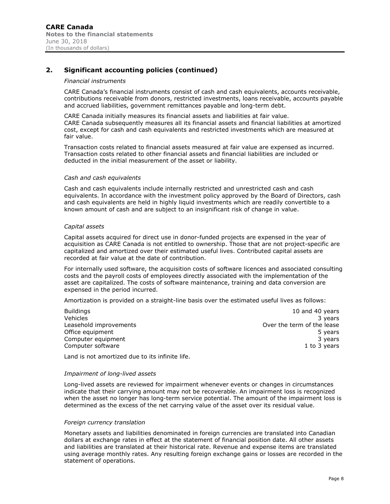# **2. Significant accounting policies (continued)**

#### *Financial instruments*

CARE Canada's financial instruments consist of cash and cash equivalents, accounts receivable, contributions receivable from donors, restricted investments, loans receivable, accounts payable and accrued liabilities, government remittances payable and long-term debt.

CARE Canada initially measures its financial assets and liabilities at fair value. CARE Canada subsequently measures all its financial assets and financial liabilities at amortized cost, except for cash and cash equivalents and restricted investments which are measured at fair value.

Transaction costs related to financial assets measured at fair value are expensed as incurred. Transaction costs related to other financial assets and financial liabilities are included or deducted in the initial measurement of the asset or liability.

#### *Cash and cash equivalents*

Cash and cash equivalents include internally restricted and unrestricted cash and cash equivalents. In accordance with the investment policy approved by the Board of Directors, cash and cash equivalents are held in highly liquid investments which are readily convertible to a known amount of cash and are subject to an insignificant risk of change in value.

#### *Capital assets*

Capital assets acquired for direct use in donor-funded projects are expensed in the year of acquisition as CARE Canada is not entitled to ownership. Those that are not project-specific are capitalized and amortized over their estimated useful lives. Contributed capital assets are recorded at fair value at the date of contribution.

For internally used software, the acquisition costs of software licences and associated consulting costs and the payroll costs of employees directly associated with the implementation of the asset are capitalized. The costs of software maintenance, training and data conversion are expensed in the period incurred.

Amortization is provided on a straight-line basis over the estimated useful lives as follows:

| <b>Buildings</b>       | 10 and 40 years            |
|------------------------|----------------------------|
| <b>Vehicles</b>        | 3 years                    |
| Leasehold improvements | Over the term of the lease |
| Office equipment       | 5 years                    |
| Computer equipment     | 3 years                    |
| Computer software      | 1 to 3 years               |

Land is not amortized due to its infinite life.

#### *Impairment of long-lived assets*

Long-lived assets are reviewed for impairment whenever events or changes in circumstances indicate that their carrying amount may not be recoverable. An impairment loss is recognized when the asset no longer has long-term service potential. The amount of the impairment loss is determined as the excess of the net carrying value of the asset over its residual value.

#### *Foreign currency translation*

Monetary assets and liabilities denominated in foreign currencies are translated into Canadian dollars at exchange rates in effect at the statement of financial position date. All other assets and liabilities are translated at their historical rate. Revenue and expense items are translated using average monthly rates. Any resulting foreign exchange gains or losses are recorded in the statement of operations.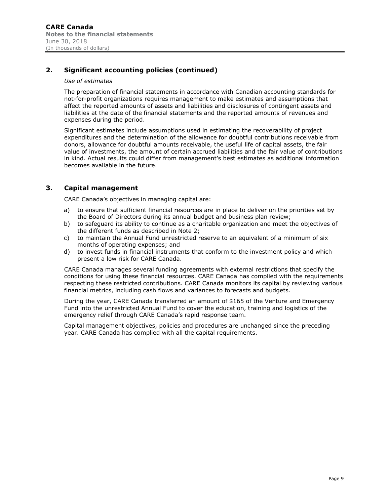# **2. Significant accounting policies (continued)**

#### *Use of estimates*

The preparation of financial statements in accordance with Canadian accounting standards for not-for-profit organizations requires management to make estimates and assumptions that affect the reported amounts of assets and liabilities and disclosures of contingent assets and liabilities at the date of the financial statements and the reported amounts of revenues and expenses during the period.

Significant estimates include assumptions used in estimating the recoverability of project expenditures and the determination of the allowance for doubtful contributions receivable from donors, allowance for doubtful amounts receivable, the useful life of capital assets, the fair value of investments, the amount of certain accrued liabilities and the fair value of contributions in kind. Actual results could differ from management's best estimates as additional information becomes available in the future.

# **3. Capital management**

CARE Canada's objectives in managing capital are:

- a) to ensure that sufficient financial resources are in place to deliver on the priorities set by the Board of Directors during its annual budget and business plan review;
- b) to safeguard its ability to continue as a charitable organization and meet the objectives of the different funds as described in Note 2;
- c) to maintain the Annual Fund unrestricted reserve to an equivalent of a minimum of six months of operating expenses; and
- d) to invest funds in financial instruments that conform to the investment policy and which present a low risk for CARE Canada.

CARE Canada manages several funding agreements with external restrictions that specify the conditions for using these financial resources. CARE Canada has complied with the requirements respecting these restricted contributions. CARE Canada monitors its capital by reviewing various financial metrics, including cash flows and variances to forecasts and budgets.

During the year, CARE Canada transferred an amount of \$165 of the Venture and Emergency Fund into the unrestricted Annual Fund to cover the education, training and logistics of the emergency relief through CARE Canada's rapid response team.

Capital management objectives, policies and procedures are unchanged since the preceding year. CARE Canada has complied with all the capital requirements.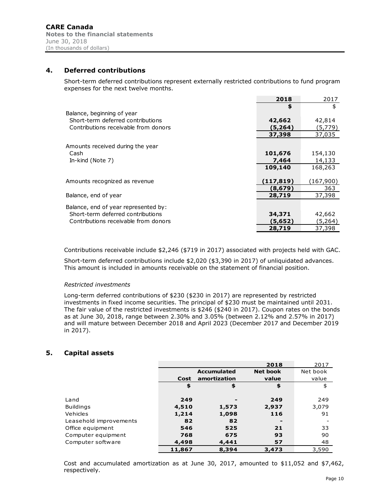# **4. Deferred contributions**

Short-term deferred contributions represent externally restricted contributions to fund program expenses for the next twelve months.

|                                      | 2018      | 2017      |
|--------------------------------------|-----------|-----------|
|                                      | \$        | \$        |
| Balance, beginning of year           |           |           |
| Short-term deferred contributions    | 42,662    | 42,814    |
| Contributions receivable from donors | (5,264)   | (5,779)   |
|                                      | 37,398    | 37,035    |
|                                      |           |           |
| Amounts received during the year     |           |           |
| Cash                                 | 101,676   | 154,130   |
| In-kind (Note 7)                     | 7,464     | 14,133    |
|                                      | 109,140   | 168,263   |
|                                      |           |           |
| Amounts recognized as revenue        | (117,819) | (167,900) |
|                                      | (8, 679)  | 363       |
| Balance, end of year                 | 28,719    | 37,398    |
|                                      |           |           |
| Balance, end of year represented by: |           |           |
| Short-term deferred contributions    | 34,371    | 42,662    |
| Contributions receivable from donors | (5,652)   | (5,264)   |
|                                      | 28,719    | 37,398    |

Contributions receivable include \$2,246 (\$719 in 2017) associated with projects held with GAC.

Short-term deferred contributions include \$2,020 (\$3,390 in 2017) of unliquidated advances. This amount is included in amounts receivable on the statement of financial position.

#### *Restricted investments*

Long-term deferred contributions of \$230 (\$230 in 2017) are represented by restricted investments in fixed income securities. The principal of \$230 must be maintained until 2031. The fair value of the restricted investments is \$246 (\$240 in 2017). Coupon rates on the bonds as at June 30, 2018, range between 2.30% and 3.05% (between 2.12% and 2.57% in 2017) and will mature between December 2018 and April 2023 (December 2017 and December 2019 in 2017).

#### **5. Capital assets**

|                        |        |                    | 2018            | 2017     |
|------------------------|--------|--------------------|-----------------|----------|
|                        |        | <b>Accumulated</b> | <b>Net book</b> | Net book |
|                        | Cost   | amortization       | value           | value    |
|                        | \$     | \$                 | \$              | \$       |
|                        |        |                    |                 |          |
| Land                   | 249    |                    | 249             | 249      |
| <b>Buildings</b>       | 4,510  | 1,573              | 2,937           | 3,079    |
| Vehicles               | 1,214  | 1,098              | 116             | 91       |
| Leasehold improvements | 82     | 82                 | $\blacksquare$  |          |
| Office equipment       | 546    | 525                | 21              | 33       |
| Computer equipment     | 768    | 675                | 93              | 90       |
| Computer software      | 4,498  | 4,441              | 57              | 48       |
|                        | 11,867 | 8,394              | 3,473           | 3,590    |

Cost and accumulated amortization as at June 30, 2017, amounted to \$11,052 and \$7,462, respectively.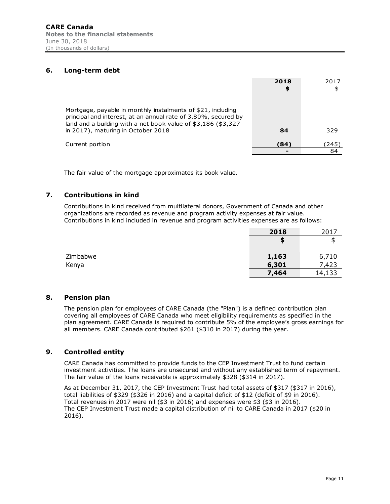# **6. Long-term debt**

|                                                                                                                                                                                                                                       | 2018 | 2017 |
|---------------------------------------------------------------------------------------------------------------------------------------------------------------------------------------------------------------------------------------|------|------|
|                                                                                                                                                                                                                                       | \$   |      |
|                                                                                                                                                                                                                                       |      |      |
| Mortgage, payable in monthly instalments of \$21, including<br>principal and interest, at an annual rate of 3.80%, secured by<br>land and a building with a net book value of \$3,186 (\$3,327)<br>in 2017), maturing in October 2018 | 84   | 329  |
| Current portion                                                                                                                                                                                                                       | (84) | 245) |
|                                                                                                                                                                                                                                       |      | 84   |

The fair value of the mortgage approximates its book value.

# **7. Contributions in kind**

Contributions in kind received from multilateral donors, Government of Canada and other organizations are recorded as revenue and program activity expenses at fair value. Contributions in kind included in revenue and program activities expenses are as follows:

|          | 2018  | 2017   |
|----------|-------|--------|
|          | ₹     |        |
|          |       |        |
| Zimbabwe | 1,163 | 6,710  |
| Kenya    | 6,301 | 7,423  |
|          | 7,464 | 14,133 |

#### **8. Pension plan**

The pension plan for employees of CARE Canada (the "Plan") is a defined contribution plan covering all employees of CARE Canada who meet eligibility requirements as specified in the plan agreement. CARE Canada is required to contribute 5% of the employee's gross earnings for all members. CARE Canada contributed \$261 (\$310 in 2017) during the year.

# **9. Controlled entity**

CARE Canada has committed to provide funds to the CEP Investment Trust to fund certain investment activities. The loans are unsecured and without any established term of repayment. The fair value of the loans receivable is approximately \$328 (\$314 in 2017).

As at December 31, 2017, the CEP Investment Trust had total assets of \$317 (\$317 in 2016), total liabilities of \$329 (\$326 in 2016) and a capital deficit of \$12 (deficit of \$9 in 2016). Total revenues in 2017 were nil (\$3 in 2016) and expenses were \$3 (\$3 in 2016). The CEP Investment Trust made a capital distribution of nil to CARE Canada in 2017 (\$20 in 2016).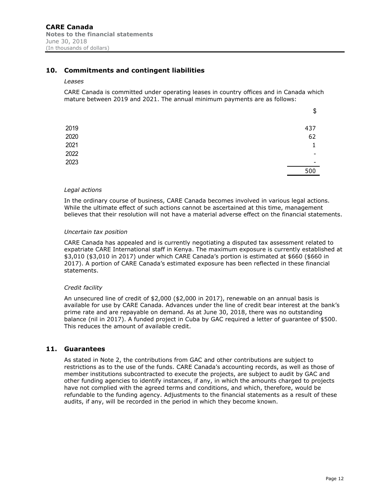# **10. Commitments and contingent liabilities**

#### *Leases*

CARE Canada is committed under operating leases in country offices and in Canada which mature between 2019 and 2021. The annual minimum payments are as follows:

|      | \$  |
|------|-----|
| 2019 | 437 |
| 2020 | 62  |
| 2021 |     |
| 2022 | -   |
| 2023 | -   |
|      | 500 |

#### *Legal actions*

In the ordinary course of business, CARE Canada becomes involved in various legal actions. While the ultimate effect of such actions cannot be ascertained at this time, management believes that their resolution will not have a material adverse effect on the financial statements.

#### *Uncertain tax position*

CARE Canada has appealed and is currently negotiating a disputed tax assessment related to expatriate CARE International staff in Kenya. The maximum exposure is currently established at \$3,010 (\$3,010 in 2017) under which CARE Canada's portion is estimated at \$660 (\$660 in 2017). A portion of CARE Canada's estimated exposure has been reflected in these financial statements.

#### *Credit facility*

An unsecured line of credit of \$2,000 (\$2,000 in 2017), renewable on an annual basis is available for use by CARE Canada. Advances under the line of credit bear interest at the bank's prime rate and are repayable on demand. As at June 30, 2018, there was no outstanding balance (nil in 2017). A funded project in Cuba by GAC required a letter of guarantee of \$500. This reduces the amount of available credit.

# **11. Guarantees**

As stated in Note 2, the contributions from GAC and other contributions are subject to restrictions as to the use of the funds. CARE Canada's accounting records, as well as those of member institutions subcontracted to execute the projects, are subject to audit by GAC and other funding agencies to identify instances, if any, in which the amounts charged to projects have not complied with the agreed terms and conditions, and which, therefore, would be refundable to the funding agency. Adjustments to the financial statements as a result of these audits, if any, will be recorded in the period in which they become known.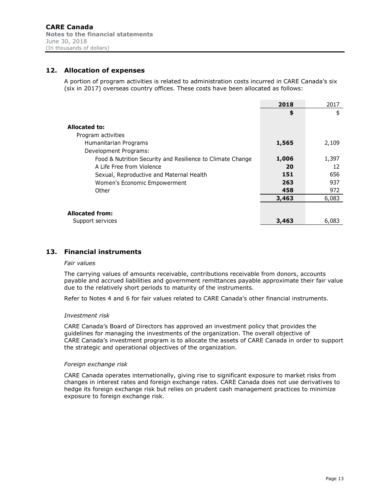# **12. Allocation of expenses**

A portion of program activities is related to administration costs incurred in CARE Canada's six (six in 2017) overseas country offices. These costs have been allocated as follows:

|                                                            | 2018  | 2017  |
|------------------------------------------------------------|-------|-------|
|                                                            | \$    | \$    |
|                                                            |       |       |
| Allocated to:                                              |       |       |
| Program activities                                         |       |       |
| Humanitarian Programs                                      | 1,565 | 2,109 |
| Development Programs:                                      |       |       |
| Food & Nutrition Security and Resilience to Climate Change | 1,006 | 1,397 |
| A Life Free from Violence                                  | 20    | 12    |
| Sexual, Reproductive and Maternal Health                   | 151   | 656   |
| Women's Economic Empowerment                               | 263   | 937   |
| Other                                                      | 458   | 972   |
|                                                            | 3,463 | 6,083 |
|                                                            |       |       |
| <b>Allocated from:</b>                                     |       |       |
| Support services                                           | 3,463 | 6,083 |

# **13. Financial instruments**

#### *Fair values*

The carrying values of amounts receivable, contributions receivable from donors, accounts payable and accrued liabilities and government remittances payable approximate their fair value due to the relatively short periods to maturity of the instruments.

Refer to Notes 4 and 6 for fair values related to CARE Canada's other financial instruments.

#### *Investment risk*

CARE Canada's Board of Directors has approved an investment policy that provides the guidelines for managing the investments of the organization. The overall objective of CARE Canada's investment program is to allocate the assets of CARE Canada in order to support the strategic and operational objectives of the organization.

#### *Foreign exchange risk*

CARE Canada operates internationally, giving rise to significant exposure to market risks from changes in interest rates and foreign exchange rates. CARE Canada does not use derivatives to hedge its foreign exchange risk but relies on prudent cash management practices to minimize exposure to foreign exchange risk.